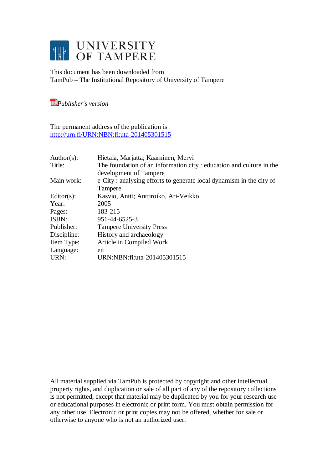

This document has been downloaded from TamPub – The Institutional Repository of University of Tampere

*[P](http://tampub.uta.fi/english/haekokoversio.php?id=1007)ublisher's version* 

The permanent address of the publication is <http://urn.fi/URN:NBN:fi:uta-201405301515>

| Author(s):     | Hietala, Marjatta; Kaarninen, Mervi                                 |
|----------------|---------------------------------------------------------------------|
| Title:         | The foundation of an information city: education and culture in the |
|                | development of Tampere                                              |
| Main work:     | e-City: analysing efforts to generate local dynamism in the city of |
|                | Tampere                                                             |
| Editor $(s)$ : | Kasvio, Antti; Anttiroiko, Ari-Veikko                               |
| Year:          | 2005                                                                |
| Pages:         | 183-215                                                             |
| ISBN:          | 951-44-6525-3                                                       |
| Publisher:     | <b>Tampere University Press</b>                                     |
| Discipline:    | History and archaeology                                             |
| Item Type:     | Article in Compiled Work                                            |
| Language:      | en                                                                  |
| URN:           | URN:NBN:fi:uta-201405301515                                         |

All material supplied via TamPub is protected by copyright and other intellectual property rights, and duplication or sale of all part of any of the repository collections is not permitted, except that material may be duplicated by you for your research use or educational purposes in electronic or print form. You must obtain permission for any other use. Electronic or print copies may not be offered, whether for sale or otherwise to anyone who is not an authorized user.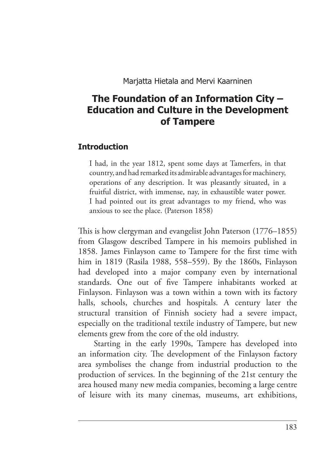# **The Foundation of an Information City – Education and Culture in the Development of Tampere**

#### **Introduction**

 I had, in the year 1812, spent some days at Tamerfers, in that country, and had remarked its admirable advantages for machinery, operations of any description. It was pleasantly situated, in a fruitful district, with immense, nay, in exhaustible water power. I had pointed out its great advantages to my friend, who was anxious to see the place. (Paterson 1858)

This is how clergyman and evangelist John Paterson (1776–1855) from Glasgow described Tampere in his memoirs published in 1858. James Finlayson came to Tampere for the first time with him in 1819 (Rasila 1988, 558–559). By the 1860s, Finlayson had developed into a major company even by international standards. One out of five Tampere inhabitants worked at Finlayson. Finlayson was a town within a town with its factory halls, schools, churches and hospitals. A century later the structural transition of Finnish society had a severe impact, especially on the traditional textile industry of Tampere, but new elements grew from the core of the old industry.

Starting in the early 1990s, Tampere has developed into an information city. The development of the Finlayson factory area symbolises the change from industrial production to the production of services. In the beginning of the 21st century the area housed many new media companies, becoming a large centre of leisure with its many cinemas, museums, art exhibitions,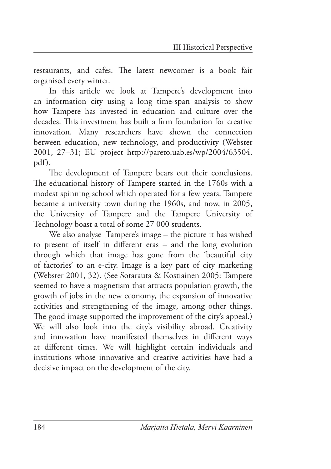restaurants, and cafes. The latest newcomer is a book fair organised every winter.

In this article we look at Tampere's development into an information city using a long time-span analysis to show how Tampere has invested in education and culture over the decades. This investment has built a firm foundation for creative innovation. Many researchers have shown the connection between education, new technology, and productivity (Webster 2001, 27–31; EU project [http://pareto.uab.es/wp/2004/63504.](http://pareto.uab.es/wp/2004/63504.pdf) [pdf](http://pareto.uab.es/wp/2004/63504.pdf)).

The development of Tampere bears out their conclusions. The educational history of Tampere started in the 1760s with a modest spinning school which operated for a few years. Tampere became a university town during the 1960s, and now, in 2005, the University of Tampere and the Tampere University of Technology boast a total of some 27 000 students.

We also analyse Tampere's image – the picture it has wished to present of itself in different eras  $-$  and the long evolution through which that image has gone from the 'beautiful city of factories' to an e-city. Image is a key part of city marketing (Webster 2001, 32). (See Sotarauta & Kostiainen 2005: Tampere seemed to have a magnetism that attracts population growth, the growth of jobs in the new economy, the expansion of innovative activities and strengthening of the image, among other things. The good image supported the improvement of the city's appeal.) We will also look into the city's visibility abroad. Creativity and innovation have manifested themselves in different ways at different times. We will highlight certain individuals and institutions whose innovative and creative activities have had a decisive impact on the development of the city.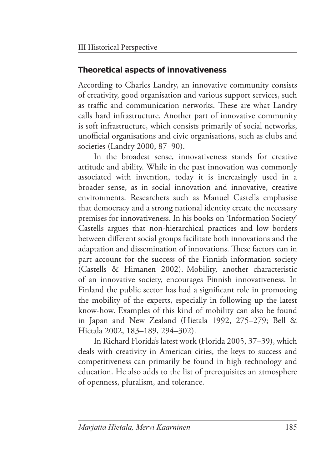### **Theoretical aspects of innovativeness**

According to Charles Landry, an innovative community consists of creativity, good organisation and various support services, such as traffic and communication networks. These are what Landry calls hard infrastructure. Another part of innovative community is soft infrastructure, which consists primarily of social networks, unofficial organisations and civic organisations, such as clubs and societies (Landry 2000, 87–90).

In the broadest sense, innovativeness stands for creative attitude and ability. While in the past innovation was commonly associated with invention, today it is increasingly used in a broader sense, as in social innovation and innovative, creative environments. Researchers such as Manuel Castells emphasise that democracy and a strong national identity create the necessary premises for innovativeness. In his books on 'Information Society' Castells argues that non-hierarchical practices and low borders between different social groups facilitate both innovations and the adaptation and dissemination of innovations. These factors can in part account for the success of the Finnish information society (Castells & Himanen 2002). Mobility, another characteristic of an innovative society, encourages Finnish innovativeness. In Finland the public sector has had a significant role in promoting the mobility of the experts, especially in following up the latest know-how. Examples of this kind of mobility can also be found in Japan and New Zealand (Hietala 1992, 275–279; Bell & Hietala 2002, 183–189, 294–302).

In Richard Florida's latest work (Florida 2005, 37–39), which deals with creativity in American cities, the keys to success and competitiveness can primarily be found in high technology and education. He also adds to the list of prerequisites an atmosphere of openness, pluralism, and tolerance.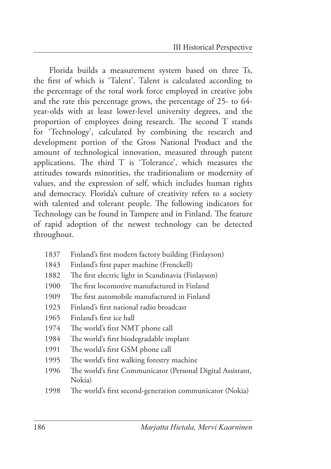Florida builds a measurement system based on three Ts, the first of which is 'Talent'. Talent is calculated according to the percentage of the total work force employed in creative jobs and the rate this percentage grows, the percentage of 25- to 64 year-olds with at least lower-level university degrees, and the proportion of employees doing research. The second T stands for 'Technology', calculated by combining the research and development portion of the Gross National Product and the amount of technological innovation, measured through patent applications. The third  $T$  is 'Tolerance', which measures the attitudes towards minorities, the traditionalism or modernity of values, and the expression of self, which includes human rights and democracy. Florida's culture of creativity refers to a society with talented and tolerant people. The following indicators for Technology can be found in Tampere and in Finland. The feature of rapid adoption of the newest technology can be detected throughout.

- 1837 Finland's first modern factory building (Finlayson)
- 1843 Finland's first paper machine (Frenckell)
- 1882 The first electric light in Scandinavia (Finlayson)
- 1900 The first locomotive manufactured in Finland
- 1909 The first automobile manufactured in Finland
- 1923 Finland's first national radio broadcast
- 1965 Finland's first ice hall
- 1974 The world's first NMT phone call
- 1984 The world's first biodegradable implant
- 1991 The world's first GSM phone call
- 1995 The world's first walking forestry machine
- 1996 The world's first Communicator (Personal Digital Assistant, Nokia)
- 1998 The world's first second-generation communicator (Nokia)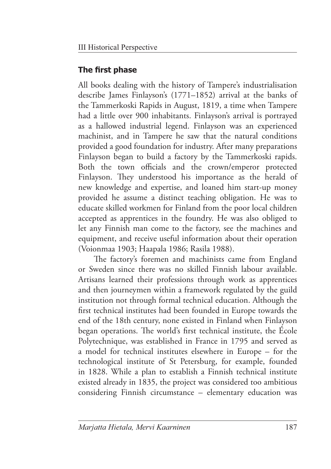## **The first phase**

All books dealing with the history of Tampere's industrialisation describe James Finlayson's (1771–1852) arrival at the banks of the Tammerkoski Rapids in August, 1819, a time when Tampere had a little over 900 inhabitants. Finlayson's arrival is portrayed as a hallowed industrial legend. Finlayson was an experienced machinist, and in Tampere he saw that the natural conditions provided a good foundation for industry. After many preparations Finlayson began to build a factory by the Tammerkoski rapids. Both the town officials and the crown/emperor protected Finlayson. They understood his importance as the herald of new knowledge and expertise, and loaned him start-up money provided he assume a distinct teaching obligation. He was to educate skilled workmen for Finland from the poor local children accepted as apprentices in the foundry. He was also obliged to let any Finnish man come to the factory, see the machines and equipment, and receive useful information about their operation (Voionmaa 1903; Haapala 1986; Rasila 1988).

The factory's foremen and machinists came from England or Sweden since there was no skilled Finnish labour available. Artisans learned their professions through work as apprentices and then journeymen within a framework regulated by the guild institution not through formal technical education. Although the first technical institutes had been founded in Europe towards the end of the 18th century, none existed in Finland when Finlayson began operations. The world's first technical institute, the École Polytechnique, was established in France in 1795 and served as a model for technical institutes elsewhere in Europe – for the technological institute of St Petersburg, for example, founded in 1828. While a plan to establish a Finnish technical institute existed already in 1835, the project was considered too ambitious considering Finnish circumstance – elementary education was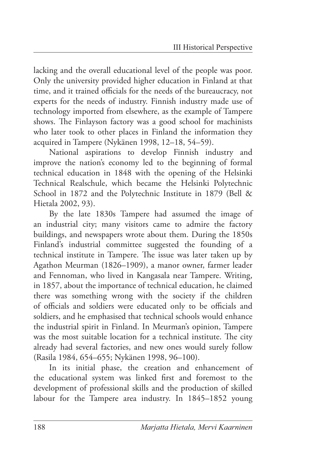lacking and the overall educational level of the people was poor. Only the university provided higher education in Finland at that time, and it trained officials for the needs of the bureaucracy, not experts for the needs of industry. Finnish industry made use of technology imported from elsewhere, as the example of Tampere shows. The Finlayson factory was a good school for machinists who later took to other places in Finland the information they acquired in Tampere (Nykänen 1998, 12–18, 54–59).

National aspirations to develop Finnish industry and improve the nation's economy led to the beginning of formal technical education in 1848 with the opening of the Helsinki Technical Realschule, which became the Helsinki Polytechnic School in 1872 and the Polytechnic Institute in 1879 (Bell & Hietala 2002, 93).

By the late 1830s Tampere had assumed the image of an industrial city; many visitors came to admire the factory buildings, and newspapers wrote about them. During the 1850s Finland's industrial committee suggested the founding of a technical institute in Tampere. The issue was later taken up by Agathon Meurman (1826–1909), a manor owner, farmer leader and Fennoman, who lived in Kangasala near Tampere. Writing, in 1857, about the importance of technical education, he claimed there was something wrong with the society if the children of officials and soldiers were educated only to be officials and soldiers, and he emphasised that technical schools would enhance the industrial spirit in Finland. In Meurman's opinion, Tampere was the most suitable location for a technical institute. The city already had several factories, and new ones would surely follow (Rasila 1984, 654–655; Nykänen 1998, 96–100).

In its initial phase, the creation and enhancement of the educational system was linked first and foremost to the development of professional skills and the production of skilled labour for the Tampere area industry. In 1845–1852 young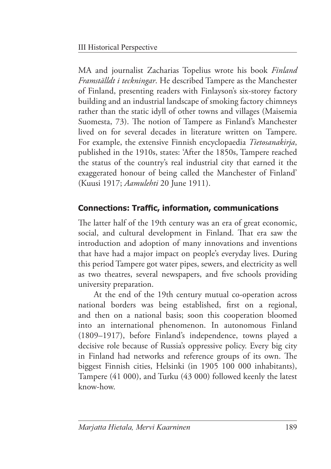MA and journalist Zacharias Topelius wrote his book *Finland Framställdt i teckningar*. He described Tampere as the Manchester of Finland, presenting readers with Finlayson's six-storey factory building and an industrial landscape of smoking factory chimneys rather than the static idyll of other towns and villages (Maisemia Suomesta, 73). The notion of Tampere as Finland's Manchester lived on for several decades in literature written on Tampere. For example, the extensive Finnish encyclopaedia *Tietosanakirja*, published in the 1910s, states: 'After the 1850s, Tampere reached the status of the country's real industrial city that earned it the exaggerated honour of being called the Manchester of Finland' (Kuusi 1917; *Aamulehti* 20 June 1911).

# **Connections: Traffic, information, communications**

The latter half of the 19th century was an era of great economic, social, and cultural development in Finland. That era saw the introduction and adoption of many innovations and inventions that have had a major impact on people's everyday lives. During this period Tampere got water pipes, sewers, and electricity as well as two theatres, several newspapers, and five schools providing university preparation.

At the end of the 19th century mutual co-operation across national borders was being established, first on a regional, and then on a national basis; soon this cooperation bloomed into an international phenomenon. In autonomous Finland (1809–1917), before Finland's independence, towns played a decisive role because of Russia's oppressive policy. Every big city in Finland had networks and reference groups of its own. The biggest Finnish cities, Helsinki (in 1905 100 000 inhabitants), Tampere (41 000), and Turku (43 000) followed keenly the latest know-how.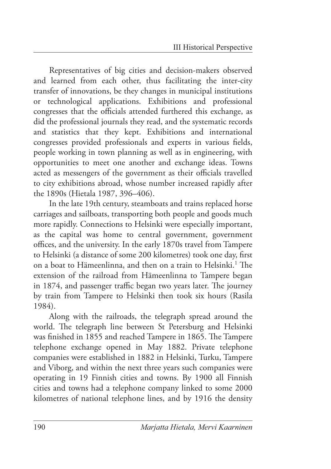Representatives of big cities and decision-makers observed and learned from each other, thus facilitating the inter-city transfer of innovations, be they changes in municipal institutions or technological applications. Exhibitions and professional congresses that the officials attended furthered this exchange, as did the professional journals they read, and the systematic records and statistics that they kept. Exhibitions and international congresses provided professionals and experts in various fields, people working in town planning as well as in engineering, with opportunities to meet one another and exchange ideas. Towns acted as messengers of the government as their officials travelled to city exhibitions abroad, whose number increased rapidly after the 1890s (Hietala 1987, 396–406).

In the late 19th century, steamboats and trains replaced horse carriages and sailboats, transporting both people and goods much more rapidly. Connections to Helsinki were especially important, as the capital was home to central government, government offices, and the university. In the early 1870s travel from Tampere to Helsinki (a distance of some 200 kilometres) took one day, first on a boat to Hämeenlinna, and then on a train to Helsinki.<sup>1</sup> The extension of the railroad from Hämeenlinna to Tampere began in 1874, and passenger traffic began two years later. The journey by train from Tampere to Helsinki then took six hours (Rasila 1984).

Along with the railroads, the telegraph spread around the world. The telegraph line between St Petersburg and Helsinki was finished in 1855 and reached Tampere in 1865. The Tampere telephone exchange opened in May 1882. Private telephone companies were established in 1882 in Helsinki, Turku, Tampere and Viborg, and within the next three years such companies were operating in 19 Finnish cities and towns. By 1900 all Finnish cities and towns had a telephone company linked to some 2000 kilometres of national telephone lines, and by 1916 the density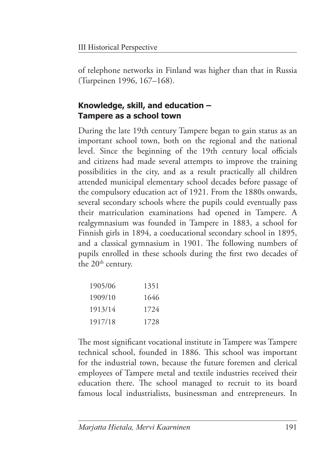of telephone networks in Finland was higher than that in Russia (Turpeinen 1996, 167–168).

# **Knowledge, skill, and education – Tampere as a school town**

During the late 19th century Tampere began to gain status as an important school town, both on the regional and the national level. Since the beginning of the 19th century local officials and citizens had made several attempts to improve the training possibilities in the city, and as a result practically all children attended municipal elementary school decades before passage of the compulsory education act of 1921. From the 1880s onwards, several secondary schools where the pupils could eventually pass their matriculation examinations had opened in Tampere. A realgymnasium was founded in Tampere in 1883, a school for Finnish girls in 1894, a coeducational secondary school in 1895, and a classical gymnasium in 1901. The following numbers of pupils enrolled in these schools during the first two decades of the 20<sup>th</sup> century.

| 1905/06 | 1351 |
|---------|------|
| 1909/10 | 1646 |
| 1913/14 | 1724 |
| 1917/18 | 1728 |

The most significant vocational institute in Tampere was Tampere technical school, founded in 1886. This school was important for the industrial town, because the future foremen and clerical employees of Tampere metal and textile industries received their education there. The school managed to recruit to its board famous local industrialists, businessman and entrepreneurs. In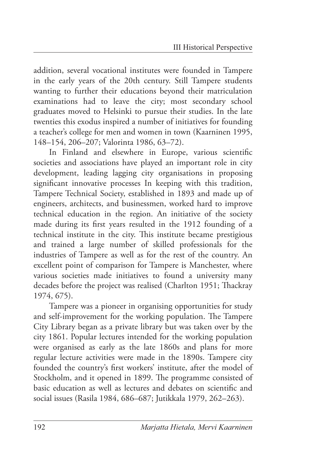addition, several vocational institutes were founded in Tampere in the early years of the 20th century. Still Tampere students wanting to further their educations beyond their matriculation examinations had to leave the city; most secondary school graduates moved to Helsinki to pursue their studies. In the late twenties this exodus inspired a number of initiatives for founding a teacher's college for men and women in town (Kaarninen 1995, 148–154, 206–207; Valorinta 1986, 63–72).

In Finland and elsewhere in Europe, various scientific societies and associations have played an important role in city development, leading lagging city organisations in proposing significant innovative processes In keeping with this tradition, Tampere Technical Society, established in 1893 and made up of engineers, architects, and businessmen, worked hard to improve technical education in the region. An initiative of the society made during its first years resulted in the 1912 founding of a technical institute in the city. This institute became prestigious and trained a large number of skilled professionals for the industries of Tampere as well as for the rest of the country. An excellent point of comparison for Tampere is Manchester, where various societies made initiatives to found a university many decades before the project was realised (Charlton 1951; Thackray 1974, 675).

Tampere was a pioneer in organising opportunities for study and self-improvement for the working population. The Tampere City Library began as a private library but was taken over by the city 1861. Popular lectures intended for the working population were organised as early as the late 1860s and plans for more regular lecture activities were made in the 1890s. Tampere city founded the country's first workers' institute, after the model of Stockholm, and it opened in 1899. The programme consisted of basic education as well as lectures and debates on scientific and social issues (Rasila 1984, 686–687; Jutikkala 1979, 262–263).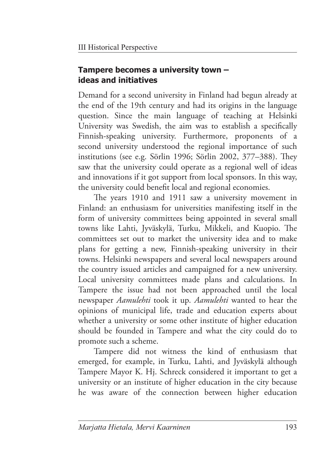### **Tampere becomes a university town – ideas and initiatives**

Demand for a second university in Finland had begun already at the end of the 19th century and had its origins in the language question. Since the main language of teaching at Helsinki University was Swedish, the aim was to establish a specifically Finnish-speaking university. Furthermore, proponents of a second university understood the regional importance of such institutions (see e.g. Sörlin 1996; Sörlin 2002,  $377-388$ ). They saw that the university could operate as a regional well of ideas and innovations if it got support from local sponsors. In this way, the university could benefit local and regional economies.

The years 1910 and 1911 saw a university movement in Finland: an enthusiasm for universities manifesting itself in the form of university committees being appointed in several small towns like Lahti, Jyväskylä, Turku, Mikkeli, and Kuopio. The committees set out to market the university idea and to make plans for getting a new, Finnish-speaking university in their towns. Helsinki newspapers and several local newspapers around the country issued articles and campaigned for a new university. Local university committees made plans and calculations. In Tampere the issue had not been approached until the local newspaper *Aamulehti* took it up. *Aamulehti* wanted to hear the opinions of municipal life, trade and education experts about whether a university or some other institute of higher education should be founded in Tampere and what the city could do to promote such a scheme.

Tampere did not witness the kind of enthusiasm that emerged, for example, in Turku, Lahti, and Jyväskylä although Tampere Mayor K. Hj. Schreck considered it important to get a university or an institute of higher education in the city because he was aware of the connection between higher education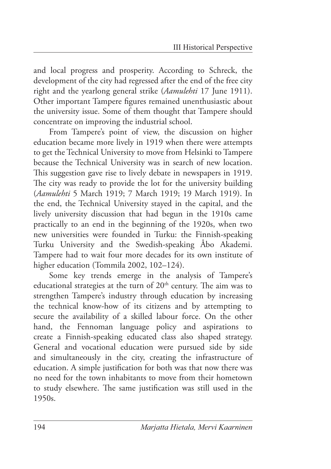and local progress and prosperity. According to Schreck, the development of the city had regressed after the end of the free city right and the yearlong general strike (*Aamulehti* 17 June 1911). Other important Tampere figures remained unenthusiastic about the university issue. Some of them thought that Tampere should concentrate on improving the industrial school.

From Tampere's point of view, the discussion on higher education became more lively in 1919 when there were attempts to get the Technical University to move from Helsinki to Tampere because the Technical University was in search of new location. This suggestion gave rise to lively debate in newspapers in 1919. The city was ready to provide the lot for the university building (*Aamulehti* 5 March 1919; 7 March 1919; 19 March 1919). In the end, the Technical University stayed in the capital, and the lively university discussion that had begun in the 1910s came practically to an end in the beginning of the 1920s, when two new universities were founded in Turku: the Finnish-speaking Turku University and the Swedish-speaking Åbo Akademi. Tampere had to wait four more decades for its own institute of higher education (Tommila 2002, 102-124).

Some key trends emerge in the analysis of Tampere's educational strategies at the turn of 20<sup>th</sup> century. The aim was to strengthen Tampere's industry through education by increasing the technical know-how of its citizens and by attempting to secure the availability of a skilled labour force. On the other hand, the Fennoman language policy and aspirations to create a Finnish-speaking educated class also shaped strategy. General and vocational education were pursued side by side and simultaneously in the city, creating the infrastructure of education. A simple justification for both was that now there was no need for the town inhabitants to move from their hometown to study elsewhere. The same justification was still used in the 1950s.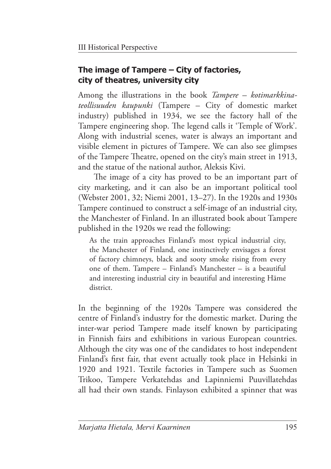### **The image of Tampere – City of factories, city of theatres, university city**

Among the illustrations in the book *Tampere – kotimarkkinateollisuuden kaupunki* (Tampere – City of domestic market industry) published in 1934, we see the factory hall of the Tampere engineering shop. The legend calls it 'Temple of Work'. Along with industrial scenes, water is always an important and visible element in pictures of Tampere. We can also see glimpses of the Tampere Theatre, opened on the city's main street in 1913, and the statue of the national author, Aleksis Kivi.

The image of a city has proved to be an important part of city marketing, and it can also be an important political tool (Webster 2001, 32; Niemi 2001, 13–27). In the 1920s and 1930s Tampere continued to construct a self-image of an industrial city, the Manchester of Finland. In an illustrated book about Tampere published in the 1920s we read the following:

 As the train approaches Finland's most typical industrial city, the Manchester of Finland, one instinctively envisages a forest of factory chimneys, black and sooty smoke rising from every one of them. Tampere – Finland's Manchester – is a beautiful and interesting industrial city in beautiful and interesting Häme district.

In the beginning of the 1920s Tampere was considered the centre of Finland's industry for the domestic market. During the inter-war period Tampere made itself known by participating in Finnish fairs and exhibitions in various European countries. Although the city was one of the candidates to host independent Finland's first fair, that event actually took place in Helsinki in 1920 and 1921. Textile factories in Tampere such as Suomen Trikoo, Tampere Verkatehdas and Lapinniemi Puuvillatehdas all had their own stands. Finlayson exhibited a spinner that was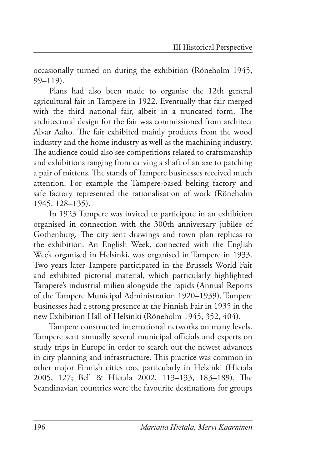occasionally turned on during the exhibition (Röneholm 1945, 99–119).

Plans had also been made to organise the 12th general agricultural fair in Tampere in 1922. Eventually that fair merged with the third national fair, albeit in a truncated form. The architectural design for the fair was commissioned from architect Alvar Aalto. The fair exhibited mainly products from the wood industry and the home industry as well as the machining industry. The audience could also see competitions related to craftsmanship and exhibitions ranging from carving a shaft of an axe to patching a pair of mittens. The stands of Tampere businesses received much attention. For example the Tampere-based belting factory and safe factory represented the rationalisation of work (Röneholm 1945, 128–135).

In 1923 Tampere was invited to participate in an exhibition organised in connection with the 300th anniversary jubilee of Gothenburg. The city sent drawings and town plan replicas to the exhibition. An English Week, connected with the English Week organised in Helsinki, was organised in Tampere in 1933. Two years later Tampere participated in the Brussels World Fair and exhibited pictorial material, which particularly highlighted Tampere's industrial milieu alongside the rapids (Annual Reports of the Tampere Municipal Administration 1920–1939). Tampere businesses had a strong presence at the Finnish Fair in 1935 in the new Exhibition Hall of Helsinki (Röneholm 1945, 352, 404).

Tampere constructed international networks on many levels. Tampere sent annually several municipal officials and experts on study trips in Europe in order to search out the newest advances in city planning and infrastructure. This practice was common in other major Finnish cities too, particularly in Helsinki (Hietala 2005, 127; Bell & Hietala 2002, 113-133, 183-189). The Scandinavian countries were the favourite destinations for groups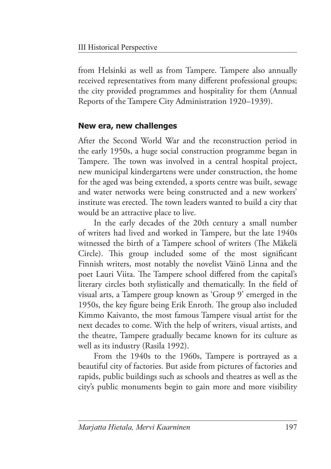from Helsinki as well as from Tampere. Tampere also annually received representatives from many different professional groups; the city provided programmes and hospitality for them (Annual Reports of the Tampere City Administration 1920–1939).

### **New era, new challenges**

After the Second World War and the reconstruction period in the early 1950s, a huge social construction programme began in Tampere. The town was involved in a central hospital project, new municipal kindergartens were under construction, the home for the aged was being extended, a sports centre was built, sewage and water networks were being constructed and a new workers' institute was erected. The town leaders wanted to build a city that would be an attractive place to live.

In the early decades of the 20th century a small number of writers had lived and worked in Tampere, but the late 1940s witnessed the birth of a Tampere school of writers (The Mäkelä Circle). This group included some of the most significant Finnish writers, most notably the novelist Väinö Linna and the poet Lauri Viita. The Tampere school differed from the capital's literary circles both stylistically and thematically. In the field of visual arts, a Tampere group known as 'Group 9' emerged in the 1950s, the key figure being Erik Enroth. The group also included Kimmo Kaivanto, the most famous Tampere visual artist for the next decades to come. With the help of writers, visual artists, and the theatre, Tampere gradually became known for its culture as well as its industry (Rasila 1992).

From the 1940s to the 1960s, Tampere is portrayed as a beautiful city of factories. But aside from pictures of factories and rapids, public buildings such as schools and theatres as well as the city's public monuments begin to gain more and more visibility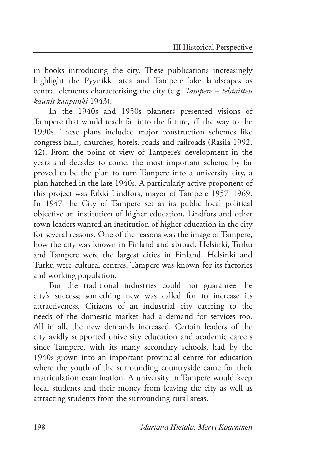in books introducing the city. These publications increasingly highlight the Pyynikki area and Tampere lake landscapes as central elements characterising the city (e.g. *Tampere – tehtaitten kaunis kaupunki* 1943).

In the 1940s and 1950s planners presented visions of Tampere that would reach far into the future, all the way to the 1990s. These plans included major construction schemes like congress halls, churches, hotels, roads and railroads (Rasila 1992, 42). From the point of view of Tampere's development in the years and decades to come, the most important scheme by far proved to be the plan to turn Tampere into a university city, a plan hatched in the late 1940s. A particularly active proponent of this project was Erkki Lindfors, mayor of Tampere 1957–1969. In 1947 the City of Tampere set as its public local political objective an institution of higher education. Lindfors and other town leaders wanted an institution of higher education in the city for several reasons. One of the reasons was the image of Tampere, how the city was known in Finland and abroad. Helsinki, Turku and Tampere were the largest cities in Finland. Helsinki and Turku were cultural centres. Tampere was known for its factories and working population.

But the traditional industries could not guarantee the city's success; something new was called for to increase its attractiveness. Citizens of an industrial city catering to the needs of the domestic market had a demand for services too. All in all, the new demands increased. Certain leaders of the city avidly supported university education and academic careers since Tampere, with its many secondary schools, had by the 1940s grown into an important provincial centre for education where the youth of the surrounding countryside came for their matriculation examination. A university in Tampere would keep local students and their money from leaving the city as well as attracting students from the surrounding rural areas.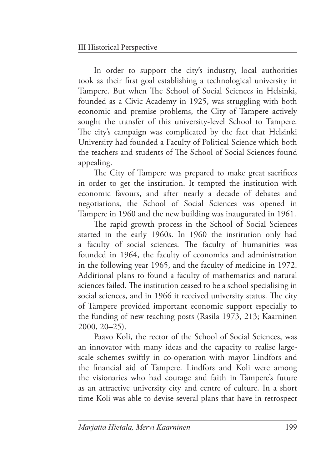In order to support the city's industry, local authorities took as their first goal establishing a technological university in Tampere. But when The School of Social Sciences in Helsinki, founded as a Civic Academy in 1925, was struggling with both economic and premise problems, the City of Tampere actively sought the transfer of this university-level School to Tampere. The city's campaign was complicated by the fact that Helsinki University had founded a Faculty of Political Science which both the teachers and students of The School of Social Sciences found appealing.

The City of Tampere was prepared to make great sacrifices in order to get the institution. It tempted the institution with economic favours, and after nearly a decade of debates and negotiations, the School of Social Sciences was opened in Tampere in 1960 and the new building was inaugurated in 1961.

The rapid growth process in the School of Social Sciences started in the early 1960s. In 1960 the institution only had a faculty of social sciences. The faculty of humanities was founded in 1964, the faculty of economics and administration in the following year 1965, and the faculty of medicine in 1972. Additional plans to found a faculty of mathematics and natural sciences failed. The institution ceased to be a school specialising in social sciences, and in 1966 it received university status. The city of Tampere provided important economic support especially to the funding of new teaching posts (Rasila 1973, 213; Kaarninen 2000, 20–25).

Paavo Koli, the rector of the School of Social Sciences, was an innovator with many ideas and the capacity to realise largescale schemes swiftly in co-operation with mayor Lindfors and the financial aid of Tampere. Lindfors and Koli were among the visionaries who had courage and faith in Tampere's future as an attractive university city and centre of culture. In a short time Koli was able to devise several plans that have in retrospect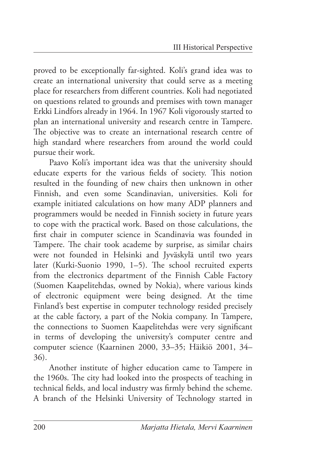proved to be exceptionally far-sighted. Koli's grand idea was to create an international university that could serve as a meeting place for researchers from different countries. Koli had negotiated on questions related to grounds and premises with town manager Erkki Lindfors already in 1964. In 1967 Koli vigorously started to plan an international university and research centre in Tampere. The objective was to create an international research centre of high standard where researchers from around the world could pursue their work.

Paavo Koli's important idea was that the university should educate experts for the various fields of society. This notion resulted in the founding of new chairs then unknown in other Finnish, and even some Scandinavian, universities. Koli for example initiated calculations on how many ADP planners and programmers would be needed in Finnish society in future years to cope with the practical work. Based on those calculations, the first chair in computer science in Scandinavia was founded in Tampere. The chair took academe by surprise, as similar chairs were not founded in Helsinki and Jyväskylä until two years later (Kurki-Suonio 1990, 1-5). The school recruited experts from the electronics department of the Finnish Cable Factory (Suomen Kaapelitehdas, owned by Nokia), where various kinds of electronic equipment were being designed. At the time Finland's best expertise in computer technology resided precisely at the cable factory, a part of the Nokia company. In Tampere, the connections to Suomen Kaapelitehdas were very significant in terms of developing the university's computer centre and computer science (Kaarninen 2000, 33–35; Häikiö 2001, 34– 36).

Another institute of higher education came to Tampere in the 1960s. The city had looked into the prospects of teaching in technical fields, and local industry was firmly behind the scheme. A branch of the Helsinki University of Technology started in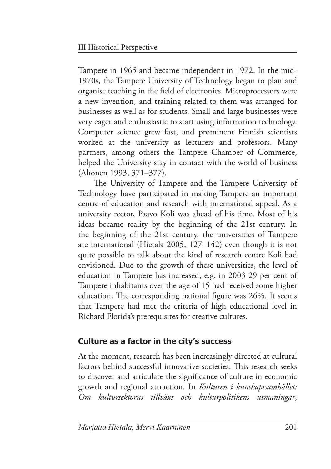Tampere in 1965 and became independent in 1972. In the mid-1970s, the Tampere University of Technology began to plan and organise teaching in the field of electronics. Microprocessors were a new invention, and training related to them was arranged for businesses as well as for students. Small and large businesses were very eager and enthusiastic to start using information technology. Computer science grew fast, and prominent Finnish scientists worked at the university as lecturers and professors. Many partners, among others the Tampere Chamber of Commerce, helped the University stay in contact with the world of business (Ahonen 1993, 371–377).

The University of Tampere and the Tampere University of Technology have participated in making Tampere an important centre of education and research with international appeal. As a university rector, Paavo Koli was ahead of his time. Most of his ideas became reality by the beginning of the 21st century. In the beginning of the 21st century, the universities of Tampere are international (Hietala 2005, 127–142) even though it is not quite possible to talk about the kind of research centre Koli had envisioned. Due to the growth of these universities, the level of education in Tampere has increased, e.g. in 2003 29 per cent of Tampere inhabitants over the age of 15 had received some higher education. The corresponding national figure was 26%. It seems that Tampere had met the criteria of high educational level in Richard Florida's prerequisites for creative cultures.

### **Culture as a factor in the city's success**

At the moment, research has been increasingly directed at cultural factors behind successful innovative societies. This research seeks to discover and articulate the significance of culture in economic growth and regional attraction. In *Kulturen i kunskapssamhället: Om kultursektorns tillväxt och kulturpolitikens utmaningar*,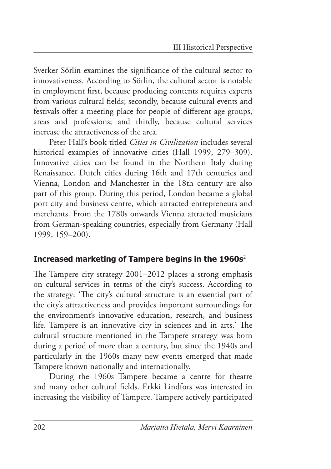Sverker Sörlin examines the significance of the cultural sector to innovativeness. According to Sörlin, the cultural sector is notable in employment first, because producing contents requires experts from various cultural fields; secondly, because cultural events and festivals offer a meeting place for people of different age groups, areas and professions; and thirdly, because cultural services increase the attractiveness of the area.

Peter Hall's book titled *Cities in Civilization* includes several historical examples of innovative cities (Hall 1999, 279–309). Innovative cities can be found in the Northern Italy during Renaissance. Dutch cities during 16th and 17th centuries and Vienna, London and Manchester in the 18th century are also part of this group. During this period, London became a global port city and business centre, which attracted entrepreneurs and merchants. From the 1780s onwards Vienna attracted musicians from German-speaking countries, especially from Germany (Hall 1999, 159–200).

### **Increased marketing of Tampere begins in the 1960s**<sup>2</sup>

The Tampere city strategy 2001–2012 places a strong emphasis on cultural services in terms of the city's success. According to the strategy: 'The city's cultural structure is an essential part of the city's attractiveness and provides important surroundings for the environment's innovative education, research, and business life. Tampere is an innovative city in sciences and in arts.' The cultural structure mentioned in the Tampere strategy was born during a period of more than a century, but since the 1940s and particularly in the 1960s many new events emerged that made Tampere known nationally and internationally.

During the 1960s Tampere became a centre for theatre and many other cultural fields. Erkki Lindfors was interested in increasing the visibility of Tampere. Tampere actively participated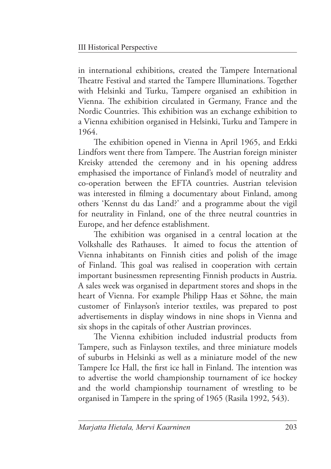in international exhibitions, created the Tampere International Theatre Festival and started the Tampere Illuminations. Together with Helsinki and Turku, Tampere organised an exhibition in Vienna. The exhibition circulated in Germany, France and the Nordic Countries. This exhibition was an exchange exhibition to a Vienna exhibition organised in Helsinki, Turku and Tampere in 1964.

The exhibition opened in Vienna in April 1965, and Erkki Lindfors went there from Tampere. The Austrian foreign minister Kreisky attended the ceremony and in his opening address emphasised the importance of Finland's model of neutrality and co-operation between the EFTA countries. Austrian television was interested in filming a documentary about Finland, among others 'Kennst du das Land?' and a programme about the vigil for neutrality in Finland, one of the three neutral countries in Europe, and her defence establishment.

The exhibition was organised in a central location at the Volkshalle des Rathauses. It aimed to focus the attention of Vienna inhabitants on Finnish cities and polish of the image of Finland. This goal was realised in cooperation with certain important businessmen representing Finnish products in Austria. A sales week was organised in department stores and shops in the heart of Vienna. For example Philipp Haas et Söhne, the main customer of Finlayson's interior textiles, was prepared to post advertisements in display windows in nine shops in Vienna and six shops in the capitals of other Austrian provinces.

The Vienna exhibition included industrial products from Tampere, such as Finlayson textiles, and three miniature models of suburbs in Helsinki as well as a miniature model of the new Tampere Ice Hall, the first ice hall in Finland. The intention was to advertise the world championship tournament of ice hockey and the world championship tournament of wrestling to be organised in Tampere in the spring of 1965 (Rasila 1992, 543).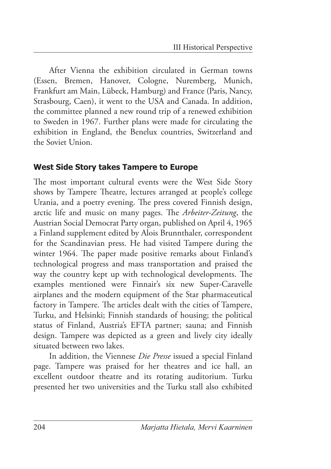After Vienna the exhibition circulated in German towns (Essen, Bremen, Hanover, Cologne, Nuremberg, Munich, Frankfurt am Main, Lübeck, Hamburg) and France (Paris, Nancy, Strasbourg, Caen), it went to the USA and Canada. In addition, the committee planned a new round trip of a renewed exhibition to Sweden in 1967. Further plans were made for circulating the exhibition in England, the Benelux countries, Switzerland and the Soviet Union.

#### **West Side Story takes Tampere to Europe**

The most important cultural events were the West Side Story shows by Tampere Theatre, lectures arranged at people's college Urania, and a poetry evening. The press covered Finnish design, arctic life and music on many pages. The *Arbeiter-Zeitung*, the Austrian Social Democrat Party organ, published on April 4, 1965 a Finland supplement edited by Alois Brunnthaler, correspondent for the Scandinavian press. He had visited Tampere during the winter 1964. The paper made positive remarks about Finland's technological progress and mass transportation and praised the way the country kept up with technological developments. The examples mentioned were Finnair's six new Super-Caravelle airplanes and the modern equipment of the Star pharmaceutical factory in Tampere. The articles dealt with the cities of Tampere, Turku, and Helsinki; Finnish standards of housing; the political status of Finland, Austria's EFTA partner; sauna; and Finnish design. Tampere was depicted as a green and lively city ideally situated between two lakes.

In addition, the Viennese *Die Presse* issued a special Finland page. Tampere was praised for her theatres and ice hall, an excellent outdoor theatre and its rotating auditorium. Turku presented her two universities and the Turku stall also exhibited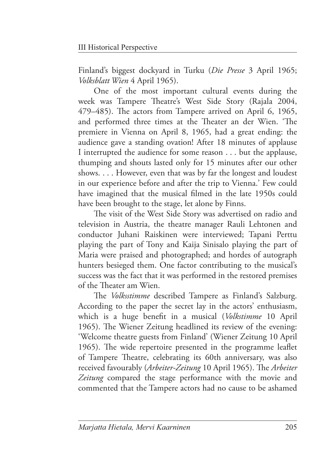Finland's biggest dockyard in Turku (*Die Presse* 3 April 1965; *Volksblatt Wien* 4 April 1965).

One of the most important cultural events during the week was Tampere Theatre's West Side Story (Rajala 2004, 479–485). The actors from Tampere arrived on April 6, 1965, and performed three times at the Theater an der Wien. 'The premiere in Vienna on April 8, 1965, had a great ending: the audience gave a standing ovation! After 18 minutes of applause I interrupted the audience for some reason . . . but the applause, thumping and shouts lasted only for 15 minutes after our other shows. . . . However, even that was by far the longest and loudest in our experience before and after the trip to Vienna.' Few could have imagined that the musical filmed in the late 1950s could have been brought to the stage, let alone by Finns.

The visit of the West Side Story was advertised on radio and television in Austria, the theatre manager Rauli Lehtonen and conductor Juhani Raiskinen were interviewed; Tapani Perttu playing the part of Tony and Kaija Sinisalo playing the part of Maria were praised and photographed; and hordes of autograph hunters besieged them. One factor contributing to the musical's success was the fact that it was performed in the restored premises of the Theater am Wien.

The *Volksstimme* described Tampere as Finland's Salzburg. According to the paper the secret lay in the actors' enthusiasm, which is a huge benefit in a musical (*Volkstimme* 10 April 1965). The Wiener Zeitung headlined its review of the evening: 'Welcome theatre guests from Finland' (Wiener Zeitung 10 April 1965). The wide repertoire presented in the programme leaflet of Tampere Theatre, celebrating its 60th anniversary, was also received favourably (Arbeiter-Zeitung 10 April 1965). The Arbeiter *Zeitung* compared the stage performance with the movie and commented that the Tampere actors had no cause to be ashamed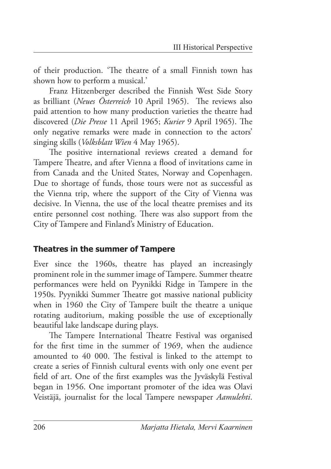of their production. 'The theatre of a small Finnish town has shown how to perform a musical.'

Franz Hitzenberger described the Finnish West Side Story as brilliant (*Neues Österreich* 10 April 1965). The reviews also paid attention to how many production varieties the theatre had discovered (*Die Presse* 11 April 1965; *Kurier* 9 April 1965). The only negative remarks were made in connection to the actors' singing skills (*Volksblatt Wien* 4 May 1965).

The positive international reviews created a demand for Tampere Theatre, and after Vienna a flood of invitations came in from Canada and the United States, Norway and Copenhagen. Due to shortage of funds, those tours were not as successful as the Vienna trip, where the support of the City of Vienna was decisive. In Vienna, the use of the local theatre premises and its entire personnel cost nothing. There was also support from the City of Tampere and Finland's Ministry of Education.

#### **Theatres in the summer of Tampere**

Ever since the 1960s, theatre has played an increasingly prominent role in the summer image of Tampere. Summer theatre performances were held on Pyynikki Ridge in Tampere in the 1950s. Pyynikki Summer Theatre got massive national publicity when in 1960 the City of Tampere built the theatre a unique rotating auditorium, making possible the use of exceptionally beautiful lake landscape during plays.

The Tampere International Theatre Festival was organised for the first time in the summer of 1969, when the audience amounted to 40 000. The festival is linked to the attempt to create a series of Finnish cultural events with only one event per field of art. One of the first examples was the Jyväskylä Festival began in 1956. One important promoter of the idea was Olavi Veistäjä, journalist for the local Tampere newspaper *Aamulehti*.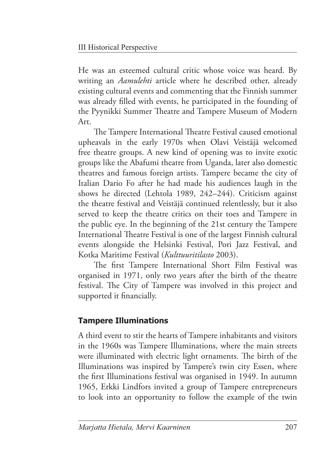He was an esteemed cultural critic whose voice was heard. By writing an *Aamulehti* article where he described other, already existing cultural events and commenting that the Finnish summer was already filled with events, he participated in the founding of the Pyynikki Summer Theatre and Tampere Museum of Modern Art.

The Tampere International Theatre Festival caused emotional upheavals in the early 1970s when Olavi Veistäjä welcomed free theatre groups. A new kind of opening was to invite exotic groups like the Abafumi theatre from Uganda, later also domestic theatres and famous foreign artists. Tampere became the city of Italian Dario Fo after he had made his audiences laugh in the shows he directed (Lehtola 1989, 242–244). Criticism against the theatre festival and Veistäjä continued relentlessly, but it also served to keep the theatre critics on their toes and Tampere in the public eye. In the beginning of the 21st century the Tampere International Theatre Festival is one of the largest Finnish cultural events alongside the Helsinki Festival, Pori Jazz Festival, and Kotka Maritime Festival (*Kulttuuritilasto* 2003).

The first Tampere International Short Film Festival was organised in 1971, only two years after the birth of the theatre festival. The City of Tampere was involved in this project and supported it financially.

# **Tampere Illuminations**

A third event to stir the hearts of Tampere inhabitants and visitors in the 1960s was Tampere Illuminations, where the main streets were illuminated with electric light ornaments. The birth of the Illuminations was inspired by Tampere's twin city Essen, where the first Illuminations festival was organised in 1949. In autumn 1965, Erkki Lindfors invited a group of Tampere entrepreneurs to look into an opportunity to follow the example of the twin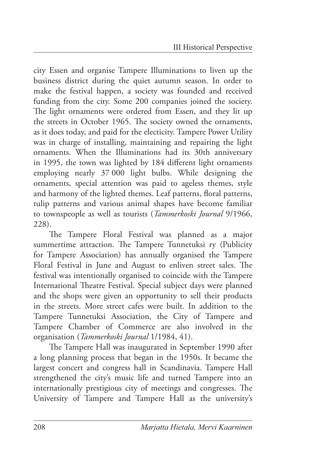city Essen and organise Tampere Illuminations to liven up the business district during the quiet autumn season. In order to make the festival happen, a society was founded and received funding from the city. Some 200 companies joined the society. The light ornaments were ordered from Essen, and they lit up the streets in October 1965. The society owned the ornaments, as it does today, and paid for the electicity. Tampere Power Utility was in charge of installing, maintaining and repairing the light ornaments. When the Illuminations had its 30th anniversary in 1995, the town was lighted by 184 different light ornaments employing nearly 37 000 light bulbs. While designing the ornaments, special attention was paid to ageless themes, style and harmony of the lighted themes. Leaf patterns, floral patterns, tulip patterns and various animal shapes have become familiar to townspeople as well as tourists (*Tammerkoski Journal* 9/1966, 228).

The Tampere Floral Festival was planned as a major summertime attraction. The Tampere Tunnetuksi ry (Publicity for Tampere Association) has annually organised the Tampere Floral Festival in June and August to enliven street sales. The festival was intentionally organised to coincide with the Tampere International Theatre Festival. Special subject days were planned and the shops were given an opportunity to sell their products in the streets. More street cafes were built. In addition to the Tampere Tunnetuksi Association, the City of Tampere and Tampere Chamber of Commerce are also involved in the organisation (*Tammerkoski Journal* 1/1984, 41).

The Tampere Hall was inaugurated in September 1990 after a long planning process that began in the 1950s. It became the largest concert and congress hall in Scandinavia. Tampere Hall strengthened the city's music life and turned Tampere into an internationally prestigious city of meetings and congresses. The University of Tampere and Tampere Hall as the university's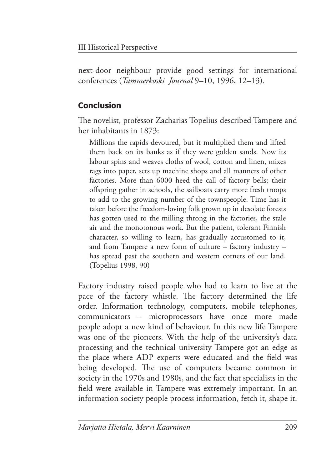next-door neighbour provide good settings for international conferences (*Tammerkoski Journal* 9–10, 1996, 12–13).

## **Conclusion**

The novelist, professor Zacharias Topelius described Tampere and her inhabitants in 1873:

 Millions the rapids devoured, but it multiplied them and lifted them back on its banks as if they were golden sands. Now its labour spins and weaves cloths of wool, cotton and linen, mixes rags into paper, sets up machine shops and all manners of other factories. More than 6000 heed the call of factory bells; their offspring gather in schools, the sailboats carry more fresh troops to add to the growing number of the townspeople. Time has it taken before the freedom-loving folk grown up in desolate forests has gotten used to the milling throng in the factories, the stale air and the monotonous work. But the patient, tolerant Finnish character, so willing to learn, has gradually accustomed to it, and from Tampere a new form of culture – factory industry – has spread past the southern and western corners of our land. (Topelius 1998, 90)

Factory industry raised people who had to learn to live at the pace of the factory whistle. The factory determined the life order. Information technology, computers, mobile telephones, communicators – microprocessors have once more made people adopt a new kind of behaviour. In this new life Tampere was one of the pioneers. With the help of the university's data processing and the technical university Tampere got an edge as the place where ADP experts were educated and the field was being developed. The use of computers became common in society in the 1970s and 1980s, and the fact that specialists in the field were available in Tampere was extremely important. In an information society people process information, fetch it, shape it.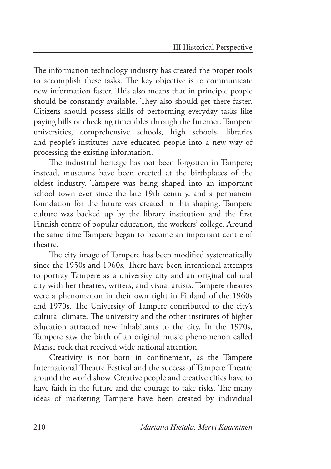The information technology industry has created the proper tools to accomplish these tasks. The key objective is to communicate new information faster. This also means that in principle people should be constantly available. They also should get there faster. Citizens should possess skills of performing everyday tasks like paying bills or checking timetables through the Internet. Tampere universities, comprehensive schools, high schools, libraries and people's institutes have educated people into a new way of processing the existing information.

The industrial heritage has not been forgotten in Tampere; instead, museums have been erected at the birthplaces of the oldest industry. Tampere was being shaped into an important school town ever since the late 19th century, and a permanent foundation for the future was created in this shaping. Tampere culture was backed up by the library institution and the first Finnish centre of popular education, the workers' college. Around the same time Tampere began to become an important centre of theatre.

The city image of Tampere has been modified systematically since the 1950s and 1960s. There have been intentional attempts to portray Tampere as a university city and an original cultural city with her theatres, writers, and visual artists. Tampere theatres were a phenomenon in their own right in Finland of the 1960s and 1970s. The University of Tampere contributed to the city's cultural climate. The university and the other institutes of higher education attracted new inhabitants to the city. In the 1970s, Tampere saw the birth of an original music phenomenon called Manse rock that received wide national attention.

Creativity is not born in confinement, as the Tampere International Theatre Festival and the success of Tampere Theatre around the world show. Creative people and creative cities have to have faith in the future and the courage to take risks. The many ideas of marketing Tampere have been created by individual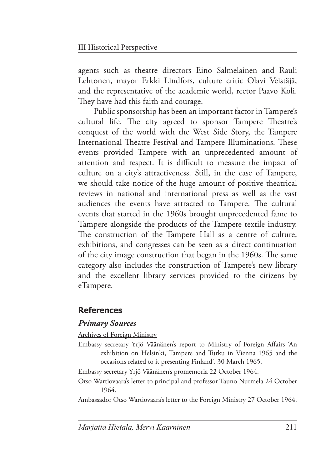agents such as theatre directors Eino Salmelainen and Rauli Lehtonen, mayor Erkki Lindfors, culture critic Olavi Veistäjä, and the representative of the academic world, rector Paavo Koli. They have had this faith and courage.

Public sponsorship has been an important factor in Tampere's cultural life. The city agreed to sponsor Tampere Theatre's conquest of the world with the West Side Story, the Tampere International Theatre Festival and Tampere Illuminations. These events provided Tampere with an unprecedented amount of attention and respect. It is difficult to measure the impact of culture on a city's attractiveness. Still, in the case of Tampere, we should take notice of the huge amount of positive theatrical reviews in national and international press as well as the vast audiences the events have attracted to Tampere. The cultural events that started in the 1960s brought unprecedented fame to Tampere alongside the products of the Tampere textile industry. The construction of the Tampere Hall as a centre of culture, exhibitions, and congresses can be seen as a direct continuation of the city image construction that began in the 1960s. The same category also includes the construction of Tampere's new library and the excellent library services provided to the citizens by eTampere.

### **References**

#### *Primary Sources*

Archives of Foreign Ministry

Embassy secretary Yrjö Väänänen's report to Ministry of Foreign Affairs 'An exhibition on Helsinki, Tampere and Turku in Vienna 1965 and the occasions related to it presenting Finland'. 30 March 1965.

Embassy secretary Yrjö Väänänen's promemoria 22 October 1964.

Otso Wartiovaara's letter to principal and professor Tauno Nurmela 24 October 1964.

Ambassador Otso Wartiovaara's letter to the Foreign Ministry 27 October 1964.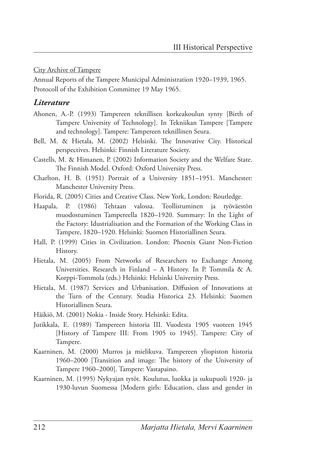City Archive of Tampere

Annual Reports of the Tampere Municipal Administration 1920–1939, 1965. Protocoll of the Exhibition Committee 19 May 1965.

#### *Literature*

- Ahonen, A.-P. (1993) Tampereen teknillisen korkeakoulun synty [Birth of Tampere University of Technology]. In Tekniikan Tampere [Tampere and technology]. Tampere: Tampereen teknillinen Seura.
- Bell, M. & Hietala, M. (2002) Helsinki. The Innovative City. Historical perspectives. Helsinki: Finnish Literature Society.
- Castells, M. & Himanen, P. (2002) Information Society and the Welfare State. The Finnish Model. Oxford: Oxford University Press.
- Charlton, H. B. (1951) Portrait of a University 1851–1951. Manchester: Manchester University Press.
- Florida, R. (2005) Cities and Creative Class. New York, London: Routledge.
- Haapala, P. (1986) Tehtaan valossa. Teollistuminen ja työväestön muodostuminen Tampereella 1820–1920. Summary: In the Light of the Factory: Idustrialisation and the Formation of the Working Class in Tampere, 1820–1920. Helsinki: Suomen Historiallinen Seura.
- Hall, P. (1999) Cities in Civilization. London: Phoenix Giant Non-Fiction History.
- Hietala, M. (2005) From Networks of Researchers to Exchange Among Universities. Research in Finland – A History. In P. Tommila & A. Korppi-Tommola (eds.) Helsinki: Helsinki University Press.
- Hietala, M. (1987) Services and Urbanisation. Diffusion of Innovations at the Turn of the Century. Studia Historica 23. Helsinki: Suomen Historiallinen Seura.

Häikiö, M. (2001) Nokia - Inside Story. Helsinki: Edita.

- Jutikkala, E. (1989) Tampereen historia III. Vuodesta 1905 vuoteen 1945 [History of Tampere III: From 1905 to 1945]. Tampere: City of Tampere.
- Kaarninen, M. (2000) Murros ja mielikuva. Tampereen yliopiston historia 1960–2000 [Transition and image: The history of the University of Tampere 1960–2000]. Tampere: Vastapaino.
- Kaarninen, M. (1995) Nykyajan tytöt. Koulutus, luokka ja sukupuoli 1920- ja 1930-luvun Suomessa [Modern girls: Education, class and gender in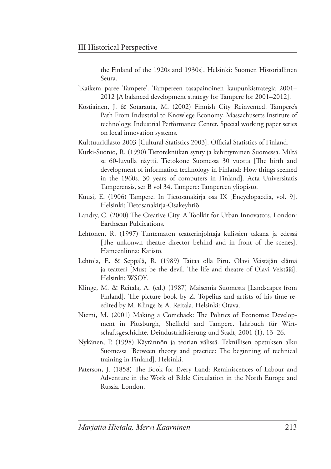the Finland of the 1920s and 1930s]. Helsinki: Suomen Historiallinen Seura.

- 'Kaikem paree Tampere'. Tampereen tasapainoinen kaupunkistrategia 2001– 2012 [A balanced development strategy for Tampere for 2001–2012].
- Kostiainen, J. & Sotarauta, M. (2002) Finnish City Reinvented. Tampere's Path From Industrial to Knowlege Economy. Massachusetts Institute of technology. Industrial Performance Center. Special working paper series on local innovation systems.
- Kulttuuritilasto 2003 [Cultural Statistics 2003]. Official Statistics of Finland.
- Kurki-Suonio, R. (1990) Tietotekniikan synty ja kehittyminen Suomessa. Miltä se 60-luvulla näytti. Tietokone Suomessa 30 vuotta [The birth and development of information technology in Finland: How things seemed in the 1960s. 30 years of computers in Finland]. Acta Universitatis Tamperensis, ser B vol 34. Tampere: Tampereen yliopisto.
- Kuusi, E. (1906) Tampere. In Tietosanakirja osa IX [Encyclopaedia, vol. 9]. Helsinki: Tietosanakirja-Osakeyhtiö.
- Landry, C. (2000) The Creative City. A Toolkit for Urban Innovators. London: Earthscan Publications.
- Lehtonen, R. (1997) Tuntematon teatterinjohtaja kulissien takana ja edessä [The unkonwn theatre director behind and in front of the scenes]. Hämeenlinna: Karisto.
- Lehtola, E. & Seppälä, R. (1989) Taitaa olla Piru. Olavi Veistäjän elämä ja teatteri [Must be the devil. The life and theatre of Olavi Veistäjä]. Helsinki: WSOY.
- Klinge, M. & Reitala, A. (ed.) (1987) Maisemia Suomesta [Landscapes from Finland]. The picture book by Z. Topelius and artists of his time reedited by M. Klinge & A. Reitala. Helsinki: Otava.
- Niemi, M. (2001) Making a Comeback: The Politics of Economic Development in Pittsburgh, Sheffield and Tampere. Jahrbuch für Wirtschaftsgeschichte. Deindustrialisierung und Stadt, 2001 (1), 13–26.
- Nykänen, P. (1998) Käytännön ja teorian välissä. Teknillisen opetuksen alku Suomessa [Between theory and practice: The beginning of technical training in Finland]. Helsinki.
- Paterson, J. (1858) The Book for Every Land: Reminiscences of Labour and Adventure in the Work of Bible Circulation in the North Europe and Russia. London.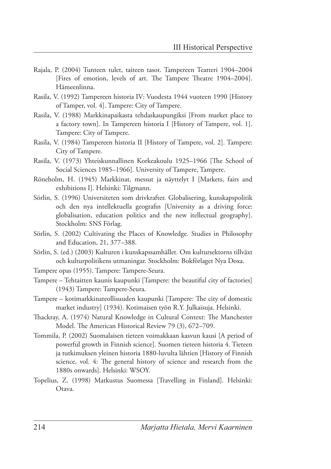- Rajala, P. (2004) Tunteen tulet, taiteen tasot. Tampereen Teatteri 1904–2004 [Fires of emotion, levels of art. The Tampere Theatre 1904–2004]. Hämeenlinna.
- Rasila, V. (1992) Tampereen historia IV: Vuodesta 1944 vuoteen 1990 [History of Tamper, vol. 4]. Tampere: City of Tampere.
- Rasila, V. (1988) Markkinapaikasta tehdaskaupungiksi [From market place to a factory town]. In Tampereen historia I [History of Tampere, vol. 1]. Tampere: City of Tampere.
- Rasila, V. (1984) Tampereen historia II [History of Tampere, vol. 2]. Tampere: City of Tampere.
- Rasila, V. (1973) Yhteiskunnallinen Korkeakoulu 1925–1966 [The School of Social Sciences 1985–1966]. University of Tampere, Tampere.
- Röneholm, H. (1945) Markkinat, messut ja näyttelyt I [Markets, fairs and exhibitions I]. Helsinki: Tilgmann.
- Sörlin, S. (1996) Universiteten som drivkrafter. Globalisering, kunskapspolitik och den nya intellektuella geografin [University as a driving force: globalisation, education politics and the new itellectual geography]. Stockholm: SNS Förlag.
- Sörlin, S. (2002) Cultivating the Places of Knowledge. Studies in Philosophy and Education, 21, 377–388.
- Sörlin, S. (ed.) (2003) Kulturen i kunskapssamhället. Om kultursektorns tillväxt och kulturpolitikens utmaningar. Stockholm: Bokförlaget Nya Doxa.
- Tampere opas (1955). Tampere: Tampere-Seura.
- Tampere Tehtaitten kaunis kaupunki [Tampere: the beautiful city of factories] (1943) Tampere: Tampere-Seura.
- Tampere kotimarkkinateollisuuden kaupunki [Tampere: The city of domestic market industry] (1934). Kotimaisen työn R.Y. Julkaisuja. Helsinki.
- Thackray, A. (1974) Natural Knowledge in Cultural Context: The Manchester Model. The American Historical Review 79 (3), 672-709.
- Tommila, P. (2002) Suomalaisen tieteen voimakkaan kasvun kausi [A period of powerful growth in Finnish science]. Suomen tieteen historia 4. Tieteen ja tutkimuksen yleinen historia 1880-luvulta lähtien [History of Finnish science, vol. 4: The general history of science and research from the 1880s onwards]. Helsinki: WSOY.
- Topelius, Z. (1998) Matkustus Suomessa [Travelling in Finland]. Helsinki: Otava.